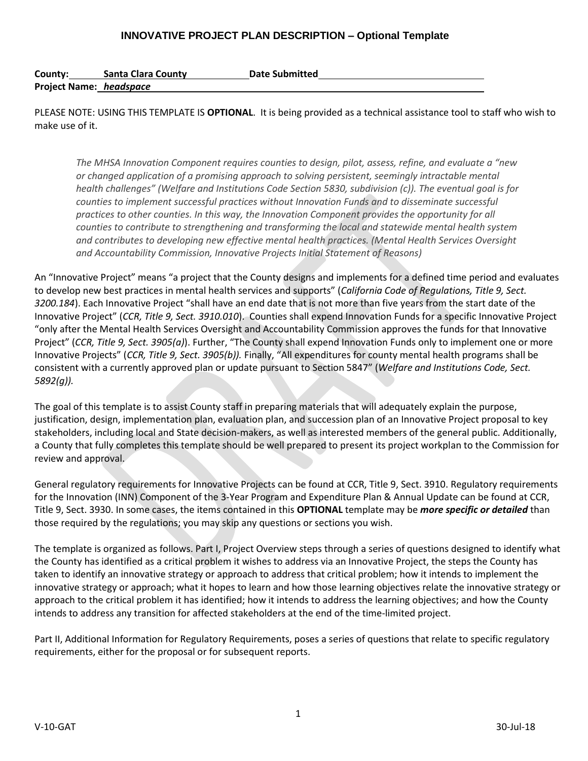| County:                 | <b>Santa Clara County</b> | <b>Date Submitted</b> |
|-------------------------|---------------------------|-----------------------|
| Project Name: headspace |                           |                       |

PLEASE NOTE: USING THIS TEMPLATE IS **OPTIONAL**. It is being provided as a technical assistance tool to staff who wish to make use of it.

*The MHSA Innovation Component requires counties to design, pilot, assess, refine, and evaluate a "new or changed application of a promising approach to solving persistent, seemingly intractable mental health challenges" (Welfare and Institutions Code Section 5830, subdivision (c)). The eventual goal is for counties to implement successful practices without Innovation Funds and to disseminate successful practices to other counties. In this way, the Innovation Component provides the opportunity for all counties to contribute to strengthening and transforming the local and statewide mental health system and contributes to developing new effective mental health practices. (Mental Health Services Oversight and Accountability Commission, Innovative Projects Initial Statement of Reasons)*

An "Innovative Project" means "a project that the County designs and implements for a defined time period and evaluates to develop new best practices in mental health services and supports" (*California Code of Regulations, Title 9, Sect. 3200.184*). Each Innovative Project "shall have an end date that is not more than five years from the start date of the Innovative Project" (*CCR, Title 9, Sect. 3910.010*). Counties shall expend Innovation Funds for a specific Innovative Project "only after the Mental Health Services Oversight and Accountability Commission approves the funds for that Innovative Project" (*CCR, Title 9, Sect. 3905(a)*). Further, "The County shall expend Innovation Funds only to implement one or more Innovative Projects" (*CCR, Title 9, Sect. 3905(b)).* Finally, "All expenditures for county mental health programs shall be consistent with a currently approved plan or update pursuant to Section 5847" (*Welfare and Institutions Code, Sect. 5892(g)).*

The goal of this template is to assist County staff in preparing materials that will adequately explain the purpose, justification, design, implementation plan, evaluation plan, and succession plan of an Innovative Project proposal to key stakeholders, including local and State decision-makers, as well as interested members of the general public. Additionally, a County that fully completes this template should be well prepared to present its project workplan to the Commission for review and approval.

General regulatory requirements for Innovative Projects can be found at CCR, Title 9, Sect. 3910. Regulatory requirements for the Innovation (INN) Component of the 3-Year Program and Expenditure Plan & Annual Update can be found at CCR, Title 9, Sect. 3930. In some cases, the items contained in this **OPTIONAL** template may be *more specific or detailed* than those required by the regulations; you may skip any questions or sections you wish.

The template is organized as follows. Part I, Project Overview steps through a series of questions designed to identify what the County has identified as a critical problem it wishes to address via an Innovative Project, the steps the County has taken to identify an innovative strategy or approach to address that critical problem; how it intends to implement the innovative strategy or approach; what it hopes to learn and how those learning objectives relate the innovative strategy or approach to the critical problem it has identified; how it intends to address the learning objectives; and how the County intends to address any transition for affected stakeholders at the end of the time-limited project.

Part II, Additional Information for Regulatory Requirements, poses a series of questions that relate to specific regulatory requirements, either for the proposal or for subsequent reports.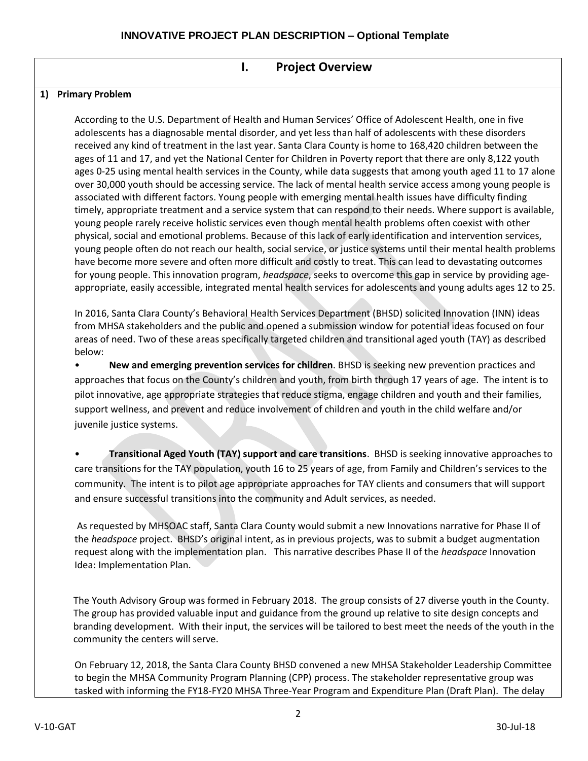## **I. Project Overview**

### **1) Primary Problem**

According to the U.S. Department of Health and Human Services' Office of Adolescent Health, one in five adolescents has a diagnosable mental disorder, and yet less than half of adolescents with these disorders received any kind of treatment in the last year. Santa Clara County is home to 168,420 children between the ages of 11 and 17, and yet the National Center for Children in Poverty report that there are only 8,122 youth ages 0-25 using mental health services in the County, while data suggests that among youth aged 11 to 17 alone over 30,000 youth should be accessing service. The lack of mental health service access among young people is associated with different factors. Young people with emerging mental health issues have difficulty finding timely, appropriate treatment and a service system that can respond to their needs. Where support is available, young people rarely receive holistic services even though mental health problems often coexist with other physical, social and emotional problems. Because of this lack of early identification and intervention services, young people often do not reach our health, social service, or justice systems until their mental health problems have become more severe and often more difficult and costly to treat. This can lead to devastating outcomes for young people. This innovation program, *headspace*, seeks to overcome this gap in service by providing ageappropriate, easily accessible, integrated mental health services for adolescents and young adults ages 12 to 25.

In 2016, Santa Clara County's Behavioral Health Services Department (BHSD) solicited Innovation (INN) ideas from MHSA stakeholders and the public and opened a submission window for potential ideas focused on four areas of need. Two of these areas specifically targeted children and transitional aged youth (TAY) as described below:

• **New and emerging prevention services for children**. BHSD is seeking new prevention practices and approaches that focus on the County's children and youth, from birth through 17 years of age. The intent is to pilot innovative, age appropriate strategies that reduce stigma, engage children and youth and their families, support wellness, and prevent and reduce involvement of children and youth in the child welfare and/or juvenile justice systems.

• **Transitional Aged Youth (TAY) support and care transitions**. BHSD is seeking innovative approaches to care transitions for the TAY population, youth 16 to 25 years of age, from Family and Children's services to the community. The intent is to pilot age appropriate approaches for TAY clients and consumers that will support and ensure successful transitions into the community and Adult services, as needed.

As requested by MHSOAC staff, Santa Clara County would submit a new Innovations narrative for Phase II of the *headspace* project. BHSD's original intent, as in previous projects, was to submit a budget augmentation request along with the implementation plan. This narrative describes Phase II of the *headspace* Innovation Idea: Implementation Plan.

The Youth Advisory Group was formed in February 2018. The group consists of 27 diverse youth in the County. The group has provided valuable input and guidance from the ground up relative to site design concepts and branding development. With their input, the services will be tailored to best meet the needs of the youth in the community the centers will serve.

On February 12, 2018, the Santa Clara County BHSD convened a new MHSA Stakeholder Leadership Committee to begin the MHSA Community Program Planning (CPP) process. The stakeholder representative group was tasked with informing the FY18-FY20 MHSA Three-Year Program and Expenditure Plan (Draft Plan). The delay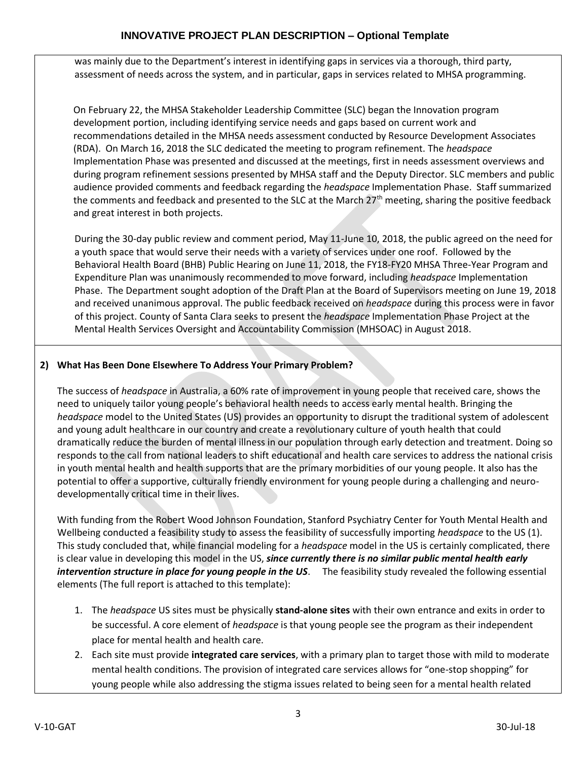was mainly due to the Department's interest in identifying gaps in services via a thorough, third party, assessment of needs across the system, and in particular, gaps in services related to MHSA programming.

On February 22, the MHSA Stakeholder Leadership Committee (SLC) began the Innovation program development portion, including identifying service needs and gaps based on current work and recommendations detailed in the MHSA needs assessment conducted by Resource Development Associates (RDA). On March 16, 2018 the SLC dedicated the meeting to program refinement. The *headspace* Implementation Phase was presented and discussed at the meetings, first in needs assessment overviews and during program refinement sessions presented by MHSA staff and the Deputy Director. SLC members and public audience provided comments and feedback regarding the *headspace* Implementation Phase. Staff summarized the comments and feedback and presented to the SLC at the March  $27<sup>th</sup>$  meeting, sharing the positive feedback and great interest in both projects.

During the 30-day public review and comment period, May 11-June 10, 2018, the public agreed on the need for a youth space that would serve their needs with a variety of services under one roof. Followed by the Behavioral Health Board (BHB) Public Hearing on June 11, 2018, the FY18-FY20 MHSA Three-Year Program and Expenditure Plan was unanimously recommended to move forward, including *headspace* Implementation Phase. The Department sought adoption of the Draft Plan at the Board of Supervisors meeting on June 19, 2018 and received unanimous approval. The public feedback received on *headspace* during this process were in favor of this project. County of Santa Clara seeks to present the *headspace* Implementation Phase Project at the Mental Health Services Oversight and Accountability Commission (MHSOAC) in August 2018.

# **2) What Has Been Done Elsewhere To Address Your Primary Problem?**

The success of *headspace* in Australia, a 60% rate of improvement in young people that received care, shows the need to uniquely tailor young people's behavioral health needs to access early mental health. Bringing the *headspace* model to the United States (US) provides an opportunity to disrupt the traditional system of adolescent and young adult healthcare in our country and create a revolutionary culture of youth health that could dramatically reduce the burden of mental illness in our population through early detection and treatment. Doing so responds to the call from national leaders to shift educational and health care services to address the national crisis in youth mental health and health supports that are the primary morbidities of our young people. It also has the potential to offer a supportive, culturally friendly environment for young people during a challenging and neurodevelopmentally critical time in their lives.

With funding from the Robert Wood Johnson Foundation, Stanford Psychiatry Center for Youth Mental Health and Wellbeing conducted a feasibility study to assess the feasibility of successfully importing *headspace* to the US (1). This study concluded that, while financial modeling for a *headspace* model in the US is certainly complicated, there is clear value in developing this model in the US, *since currently there is no similar public mental health early intervention structure in place for young people in the US*. The feasibility study revealed the following essential elements (The full report is attached to this template):

- 1. The *headspace* US sites must be physically **stand-alone sites** with their own entrance and exits in order to be successful. A core element of *headspace* is that young people see the program as their independent place for mental health and health care.
- 2. Each site must provide **integrated care services**, with a primary plan to target those with mild to moderate mental health conditions. The provision of integrated care services allows for "one-stop shopping" for young people while also addressing the stigma issues related to being seen for a mental health related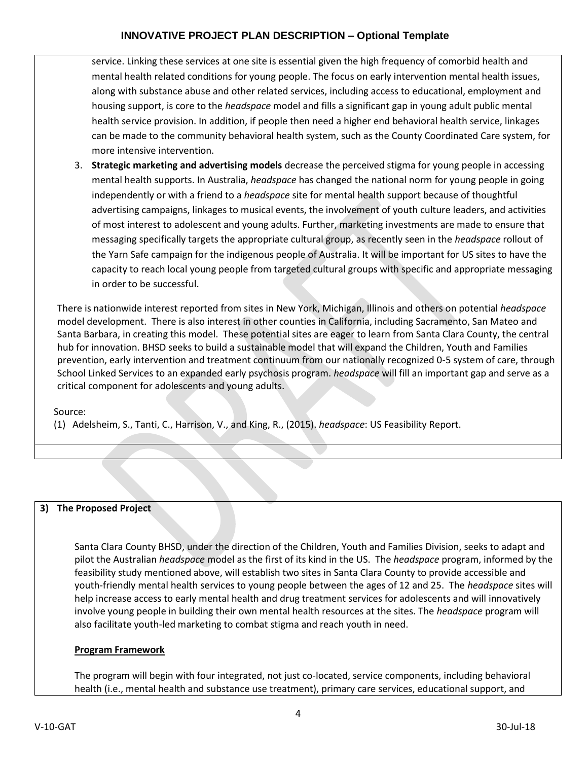service. Linking these services at one site is essential given the high frequency of comorbid health and mental health related conditions for young people. The focus on early intervention mental health issues, along with substance abuse and other related services, including access to educational, employment and housing support, is core to the *headspace* model and fills a significant gap in young adult public mental health service provision. In addition, if people then need a higher end behavioral health service, linkages can be made to the community behavioral health system, such as the County Coordinated Care system, for more intensive intervention.

3. **Strategic marketing and advertising models** decrease the perceived stigma for young people in accessing mental health supports. In Australia, *headspace* has changed the national norm for young people in going independently or with a friend to a *headspace* site for mental health support because of thoughtful advertising campaigns, linkages to musical events, the involvement of youth culture leaders, and activities of most interest to adolescent and young adults. Further, marketing investments are made to ensure that messaging specifically targets the appropriate cultural group, as recently seen in the *headspace* rollout of the Yarn Safe campaign for the indigenous people of Australia. It will be important for US sites to have the capacity to reach local young people from targeted cultural groups with specific and appropriate messaging in order to be successful.

There is nationwide interest reported from sites in New York, Michigan, Illinois and others on potential *headspace* model development. There is also interest in other counties in California, including Sacramento, San Mateo and Santa Barbara, in creating this model. These potential sites are eager to learn from Santa Clara County, the central hub for innovation. BHSD seeks to build a sustainable model that will expand the Children, Youth and Families prevention, early intervention and treatment continuum from our nationally recognized 0-5 system of care, through School Linked Services to an expanded early psychosis program. *headspace* will fill an important gap and serve as a critical component for adolescents and young adults.

Source:

(1) Adelsheim, S., Tanti, C., Harrison, V., and King, R., (2015). *headspace*: US Feasibility Report.

### **3) The Proposed Project**

Santa Clara County BHSD, under the direction of the Children, Youth and Families Division, seeks to adapt and pilot the Australian *headspace* model as the first of its kind in the US. The *headspace* program, informed by the feasibility study mentioned above, will establish two sites in Santa Clara County to provide accessible and youth-friendly mental health services to young people between the ages of 12 and 25. The *headspace* sites will help increase access to early mental health and drug treatment services for adolescents and will innovatively involve young people in building their own mental health resources at the sites. The *headspace* program will also facilitate youth-led marketing to combat stigma and reach youth in need.

### **Program Framework**

The program will begin with four integrated, not just co-located, service components, including behavioral health (i.e., mental health and substance use treatment), primary care services, educational support, and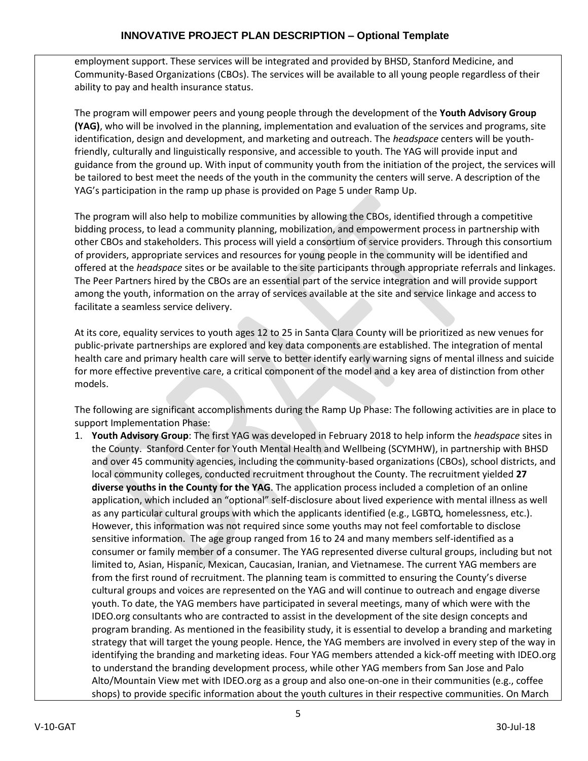employment support. These services will be integrated and provided by BHSD, Stanford Medicine, and Community-Based Organizations (CBOs). The services will be available to all young people regardless of their ability to pay and health insurance status.

The program will empower peers and young people through the development of the **Youth Advisory Group (YAG)**, who will be involved in the planning, implementation and evaluation of the services and programs, site identification, design and development, and marketing and outreach. The *headspace* centers will be youth‐ friendly, culturally and linguistically responsive, and accessible to youth. The YAG will provide input and guidance from the ground up. With input of community youth from the initiation of the project, the services will be tailored to best meet the needs of the youth in the community the centers will serve. A description of the YAG's participation in the ramp up phase is provided on Page 5 under Ramp Up.

The program will also help to mobilize communities by allowing the CBOs, identified through a competitive bidding process, to lead a community planning, mobilization, and empowerment process in partnership with other CBOs and stakeholders. This process will yield a consortium of service providers. Through this consortium of providers, appropriate services and resources for young people in the community will be identified and offered at the *headspace* sites or be available to the site participants through appropriate referrals and linkages. The Peer Partners hired by the CBOs are an essential part of the service integration and will provide support among the youth, information on the array of services available at the site and service linkage and access to facilitate a seamless service delivery.

At its core, equality services to youth ages 12 to 25 in Santa Clara County will be prioritized as new venues for public‐private partnerships are explored and key data components are established. The integration of mental health care and primary health care will serve to better identify early warning signs of mental illness and suicide for more effective preventive care, a critical component of the model and a key area of distinction from other models.

The following are significant accomplishments during the Ramp Up Phase: The following activities are in place to support Implementation Phase:

1. **Youth Advisory Group**: The first YAG was developed in February 2018 to help inform the *headspace* sites in the County. Stanford Center for Youth Mental Health and Wellbeing (SCYMHW), in partnership with BHSD and over 45 community agencies, including the community-based organizations (CBOs), school districts, and local community colleges, conducted recruitment throughout the County. The recruitment yielded **27 diverse youths in the County for the YAG**. The application process included a completion of an online application, which included an "optional" self-disclosure about lived experience with mental illness as well as any particular cultural groups with which the applicants identified (e.g., LGBTQ, homelessness, etc.). However, this information was not required since some youths may not feel comfortable to disclose sensitive information. The age group ranged from 16 to 24 and many members self-identified as a consumer or family member of a consumer. The YAG represented diverse cultural groups, including but not limited to, Asian, Hispanic, Mexican, Caucasian, Iranian, and Vietnamese. The current YAG members are from the first round of recruitment. The planning team is committed to ensuring the County's diverse cultural groups and voices are represented on the YAG and will continue to outreach and engage diverse youth. To date, the YAG members have participated in several meetings, many of which were with the IDEO.org consultants who are contracted to assist in the development of the site design concepts and program branding. As mentioned in the feasibility study, it is essential to develop a branding and marketing strategy that will target the young people. Hence, the YAG members are involved in every step of the way in identifying the branding and marketing ideas. Four YAG members attended a kick-off meeting with IDEO.org to understand the branding development process, while other YAG members from San Jose and Palo Alto/Mountain View met with IDEO.org as a group and also one-on-one in their communities (e.g., coffee shops) to provide specific information about the youth cultures in their respective communities. On March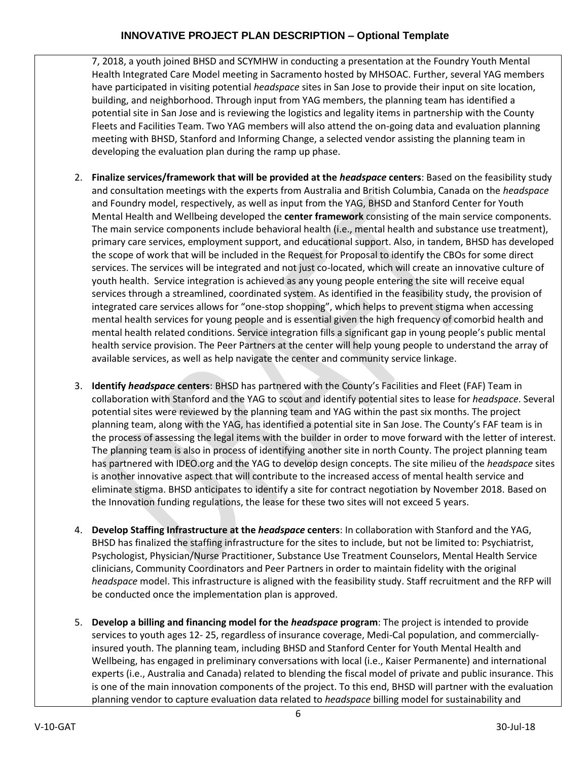7, 2018, a youth joined BHSD and SCYMHW in conducting a presentation at the Foundry Youth Mental Health Integrated Care Model meeting in Sacramento hosted by MHSOAC. Further, several YAG members have participated in visiting potential *headspace* sites in San Jose to provide their input on site location, building, and neighborhood. Through input from YAG members, the planning team has identified a potential site in San Jose and is reviewing the logistics and legality items in partnership with the County Fleets and Facilities Team. Two YAG members will also attend the on-going data and evaluation planning meeting with BHSD, Stanford and Informing Change, a selected vendor assisting the planning team in developing the evaluation plan during the ramp up phase.

- 2. **Finalize services/framework that will be provided at the** *headspace* **centers**: Based on the feasibility study and consultation meetings with the experts from Australia and British Columbia, Canada on the *headspace* and Foundry model, respectively, as well as input from the YAG, BHSD and Stanford Center for Youth Mental Health and Wellbeing developed the **center framework** consisting of the main service components. The main service components include behavioral health (i.e., mental health and substance use treatment), primary care services, employment support, and educational support. Also, in tandem, BHSD has developed the scope of work that will be included in the Request for Proposal to identify the CBOs for some direct services. The services will be integrated and not just co-located, which will create an innovative culture of youth health. Service integration is achieved as any young people entering the site will receive equal services through a streamlined, coordinated system. As identified in the feasibility study, the provision of integrated care services allows for "one-stop shopping", which helps to prevent stigma when accessing mental health services for young people and is essential given the high frequency of comorbid health and mental health related conditions. Service integration fills a significant gap in young people's public mental health service provision. The Peer Partners at the center will help young people to understand the array of available services, as well as help navigate the center and community service linkage.
- 3. **Identify** *headspace* **centers**: BHSD has partnered with the County's Facilities and Fleet (FAF) Team in collaboration with Stanford and the YAG to scout and identify potential sites to lease for *headspace*. Several potential sites were reviewed by the planning team and YAG within the past six months. The project planning team, along with the YAG, has identified a potential site in San Jose. The County's FAF team is in the process of assessing the legal items with the builder in order to move forward with the letter of interest. The planning team is also in process of identifying another site in north County. The project planning team has partnered with IDEO.org and the YAG to develop design concepts. The site milieu of the *headspace* sites is another innovative aspect that will contribute to the increased access of mental health service and eliminate stigma. BHSD anticipates to identify a site for contract negotiation by November 2018. Based on the Innovation funding regulations, the lease for these two sites will not exceed 5 years.
- 4. **Develop Staffing Infrastructure at the** *headspace* **centers**: In collaboration with Stanford and the YAG, BHSD has finalized the staffing infrastructure for the sites to include, but not be limited to: Psychiatrist, Psychologist, Physician/Nurse Practitioner, Substance Use Treatment Counselors, Mental Health Service clinicians, Community Coordinators and Peer Partners in order to maintain fidelity with the original *headspace* model. This infrastructure is aligned with the feasibility study. Staff recruitment and the RFP will be conducted once the implementation plan is approved.
- 5. **Develop a billing and financing model for the** *headspace* **program**: The project is intended to provide services to youth ages 12- 25, regardless of insurance coverage, Medi-Cal population, and commerciallyinsured youth. The planning team, including BHSD and Stanford Center for Youth Mental Health and Wellbeing, has engaged in preliminary conversations with local (i.e., Kaiser Permanente) and international experts (i.e., Australia and Canada) related to blending the fiscal model of private and public insurance. This is one of the main innovation components of the project. To this end, BHSD will partner with the evaluation planning vendor to capture evaluation data related to *headspace* billing model for sustainability and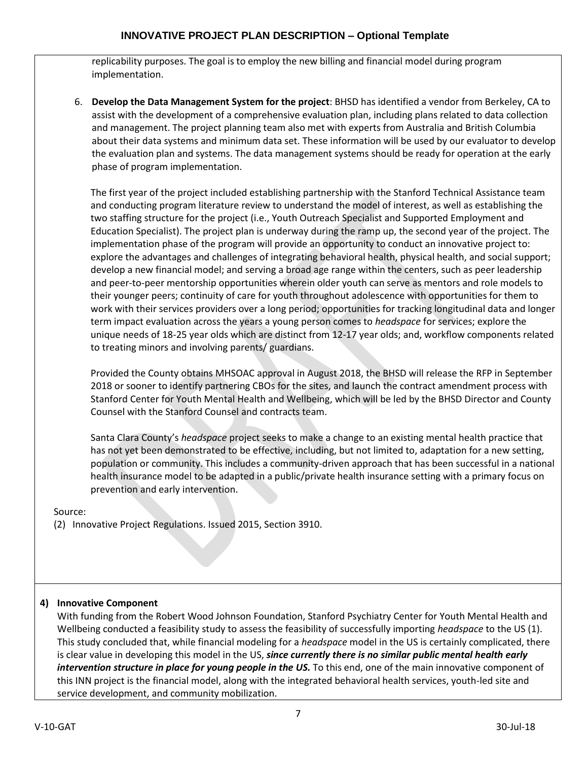replicability purposes. The goal is to employ the new billing and financial model during program implementation.

6. **Develop the Data Management System for the project**: BHSD has identified a vendor from Berkeley, CA to assist with the development of a comprehensive evaluation plan, including plans related to data collection and management. The project planning team also met with experts from Australia and British Columbia about their data systems and minimum data set. These information will be used by our evaluator to develop the evaluation plan and systems. The data management systems should be ready for operation at the early phase of program implementation.

The first year of the project included establishing partnership with the Stanford Technical Assistance team and conducting program literature review to understand the model of interest, as well as establishing the two staffing structure for the project (i.e., Youth Outreach Specialist and Supported Employment and Education Specialist). The project plan is underway during the ramp up, the second year of the project. The implementation phase of the program will provide an opportunity to conduct an innovative project to: explore the advantages and challenges of integrating behavioral health, physical health, and social support; develop a new financial model; and serving a broad age range within the centers, such as peer leadership and peer-to-peer mentorship opportunities wherein older youth can serve as mentors and role models to their younger peers; continuity of care for youth throughout adolescence with opportunities for them to work with their services providers over a long period; opportunities for tracking longitudinal data and longer term impact evaluation across the years a young person comes to *headspace* for services; explore the unique needs of 18‐25 year olds which are distinct from 12‐17 year olds; and, workflow components related to treating minors and involving parents/ guardians.

Provided the County obtains MHSOAC approval in August 2018, the BHSD will release the RFP in September 2018 or sooner to identify partnering CBOs for the sites, and launch the contract amendment process with Stanford Center for Youth Mental Health and Wellbeing, which will be led by the BHSD Director and County Counsel with the Stanford Counsel and contracts team.

Santa Clara County's *headspace* project seeks to make a change to an existing mental health practice that has not yet been demonstrated to be effective, including, but not limited to, adaptation for a new setting, population or community. This includes a community-driven approach that has been successful in a national health insurance model to be adapted in a public/private health insurance setting with a primary focus on prevention and early intervention.

Source:

(2) Innovative Project Regulations. Issued 2015, Section 3910.

# **4) Innovative Component**

With funding from the Robert Wood Johnson Foundation, Stanford Psychiatry Center for Youth Mental Health and Wellbeing conducted a feasibility study to assess the feasibility of successfully importing *headspace* to the US (1). This study concluded that, while financial modeling for a *headspace* model in the US is certainly complicated, there is clear value in developing this model in the US, *since currently there is no similar public mental health early intervention structure in place for young people in the US.* To this end, one of the main innovative component of this INN project is the financial model, along with the integrated behavioral health services, youth-led site and service development, and community mobilization.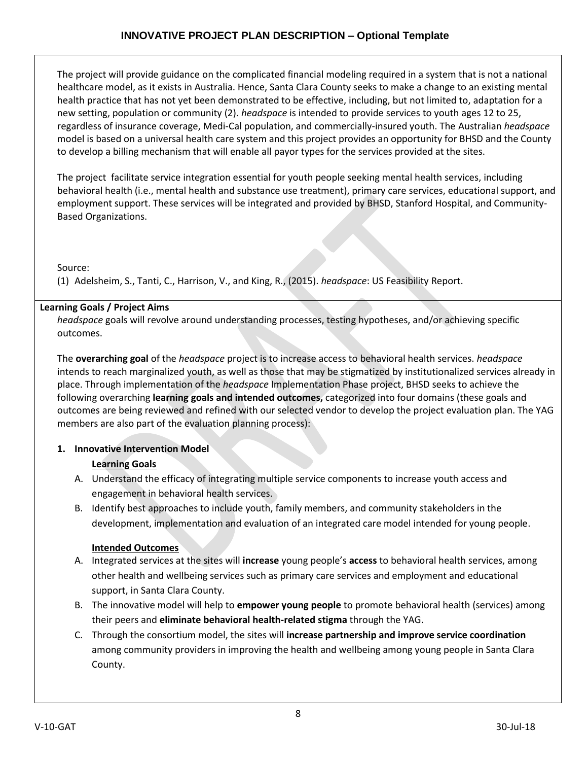The project will provide guidance on the complicated financial modeling required in a system that is not a national healthcare model, as it exists in Australia. Hence, Santa Clara County seeks to make a change to an existing mental health practice that has not yet been demonstrated to be effective, including, but not limited to, adaptation for a new setting, population or community (2). *headspace* is intended to provide services to youth ages 12 to 25, regardless of insurance coverage, Medi‐Cal population, and commercially‐insured youth. The Australian *headspace* model is based on a universal health care system and this project provides an opportunity for BHSD and the County to develop a billing mechanism that will enable all payor types for the services provided at the sites.

The project facilitate service integration essential for youth people seeking mental health services, including behavioral health (i.e., mental health and substance use treatment), primary care services, educational support, and employment support. These services will be integrated and provided by BHSD, Stanford Hospital, and Community-Based Organizations.

Source:

(1) Adelsheim, S., Tanti, C., Harrison, V., and King, R., (2015). *headspace*: US Feasibility Report.

# **Learning Goals / Project Aims**

*headspace* goals will revolve around understanding processes, testing hypotheses, and/or achieving specific outcomes.

The **overarching goal** of the *headspace* project is to increase access to behavioral health services. *headspace* intends to reach marginalized youth, as well as those that may be stigmatized by institutionalized services already in place. Through implementation of the *headspace* Implementation Phase project, BHSD seeks to achieve the following overarching **learning goals and intended outcomes,** categorized into four domains (these goals and outcomes are being reviewed and refined with our selected vendor to develop the project evaluation plan. The YAG members are also part of the evaluation planning process):

# **1. Innovative Intervention Model**

# **Learning Goals**

- A. Understand the efficacy of integrating multiple service components to increase youth access and engagement in behavioral health services.
- B. Identify best approaches to include youth, family members, and community stakeholders in the development, implementation and evaluation of an integrated care model intended for young people.

# **Intended Outcomes**

- A. Integrated services at the sites will **increase** young people's **access** to behavioral health services, among other health and wellbeing services such as primary care services and employment and educational support, in Santa Clara County.
- B. The innovative model will help to **empower young people** to promote behavioral health (services) among their peers and **eliminate behavioral health-related stigma** through the YAG.
- C. Through the consortium model, the sites will **increase partnership and improve service coordination** among community providers in improving the health and wellbeing among young people in Santa Clara County.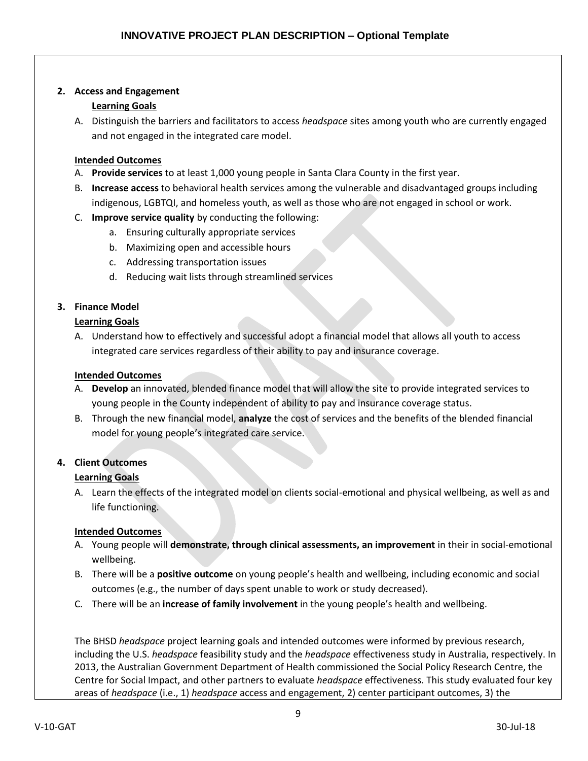### **2. Access and Engagement**

## **Learning Goals**

A. Distinguish the barriers and facilitators to access *headspace* sites among youth who are currently engaged and not engaged in the integrated care model.

### **Intended Outcomes**

- A. **Provide services** to at least 1,000 young people in Santa Clara County in the first year.
- B. **Increase access** to behavioral health services among the vulnerable and disadvantaged groups including indigenous, LGBTQI, and homeless youth, as well as those who are not engaged in school or work.
- C. **Improve service quality** by conducting the following:
	- a. Ensuring culturally appropriate services
	- b. Maximizing open and accessible hours
	- c. Addressing transportation issues
	- d. Reducing wait lists through streamlined services

## **3. Finance Model**

## **Learning Goals**

A. Understand how to effectively and successful adopt a financial model that allows all youth to access integrated care services regardless of their ability to pay and insurance coverage.

## **Intended Outcomes**

- A. **Develop** an innovated, blended finance model that will allow the site to provide integrated services to young people in the County independent of ability to pay and insurance coverage status.
- B. Through the new financial model, **analyze** the cost of services and the benefits of the blended financial model for young people's integrated care service.

## **4. Client Outcomes**

## **Learning Goals**

A. Learn the effects of the integrated model on clients social-emotional and physical wellbeing, as well as and life functioning.

## **Intended Outcomes**

- A. Young people will **demonstrate, through clinical assessments, an improvement** in their in social-emotional wellbeing.
- B. There will be a **positive outcome** on young people's health and wellbeing, including economic and social outcomes (e.g., the number of days spent unable to work or study decreased).
- C. There will be an **increase of family involvement** in the young people's health and wellbeing.

The BHSD *headspace* project learning goals and intended outcomes were informed by previous research, including the U.S. *headspace* feasibility study and the *headspace* effectiveness study in Australia, respectively. In 2013, the Australian Government Department of Health commissioned the Social Policy Research Centre, the Centre for Social Impact, and other partners to evaluate *headspace* effectiveness. This study evaluated four key areas of *headspace* (i.e., 1) *headspace* access and engagement, 2) center participant outcomes, 3) the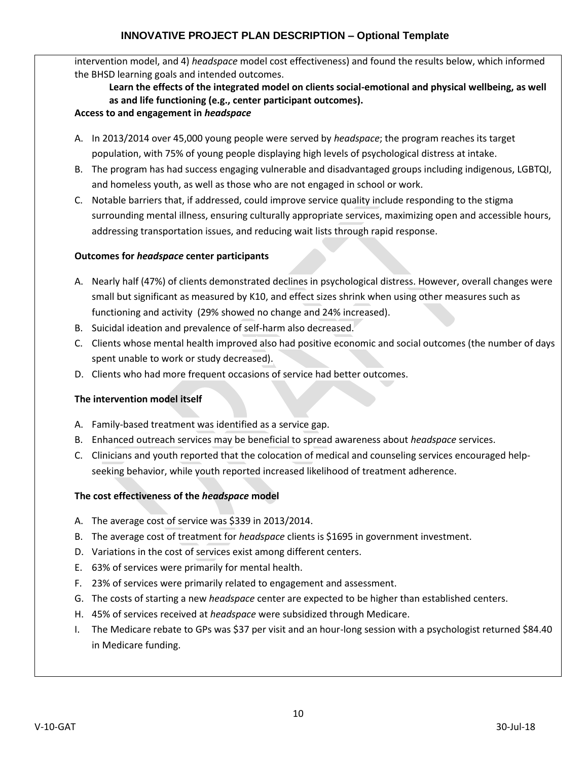intervention model, and 4) *headspace* model cost effectiveness) and found the results below, which informed the BHSD learning goals and intended outcomes.

### **Learn the effects of the integrated model on clients social-emotional and physical wellbeing, as well as and life functioning (e.g., center participant outcomes). Access to and engagement in** *headspace*

- A. In 2013/2014 over 45,000 young people were served by *headspace*; the program reaches its target population, with 75% of young people displaying high levels of psychological distress at intake.
- B. The program has had success engaging vulnerable and disadvantaged groups including indigenous, LGBTQI, and homeless youth, as well as those who are not engaged in school or work.
- C. Notable barriers that, if addressed, could improve service quality include responding to the stigma surrounding mental illness, ensuring culturally appropriate services, maximizing open and accessible hours, addressing transportation issues, and reducing wait lists through rapid response.

## **Outcomes for** *headspace* **center participants**

- A. Nearly half (47%) of clients demonstrated declines in psychological distress. However, overall changes were small but significant as measured by K10, and effect sizes shrink when using other measures such as functioning and activity (29% showed no change and 24% increased).
- B. Suicidal ideation and prevalence of self-harm also decreased.
- C. Clients whose mental health improved also had positive economic and social outcomes (the number of days spent unable to work or study decreased).
- D. Clients who had more frequent occasions of service had better outcomes.

## **The intervention model itself**

- A. Family-based treatment was identified as a service gap.
- B. Enhanced outreach services may be beneficial to spread awareness about *headspace* services.
- C. Clinicians and youth reported that the colocation of medical and counseling services encouraged helpseeking behavior, while youth reported increased likelihood of treatment adherence.

### **The cost effectiveness of the** *headspace* **model**

- A. The average cost of service was \$339 in 2013/2014.
- B. The average cost of treatment for *headspace* clients is \$1695 in government investment.
- D. Variations in the cost of services exist among different centers.
- E. 63% of services were primarily for mental health.
- F. 23% of services were primarily related to engagement and assessment.
- G. The costs of starting a new *headspace* center are expected to be higher than established centers.
- H. 45% of services received at *headspace* were subsidized through Medicare.
- I. The Medicare rebate to GPs was \$37 per visit and an hour-long session with a psychologist returned \$84.40 in Medicare funding.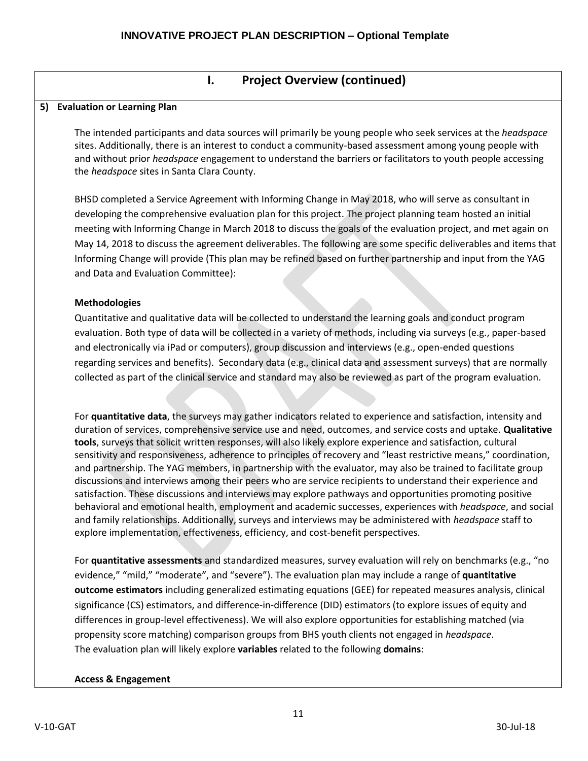# **I. Project Overview (continued)**

### **5) Evaluation or Learning Plan**

The intended participants and data sources will primarily be young people who seek services at the *headspace*  sites. Additionally, there is an interest to conduct a community-based assessment among young people with and without prior *headspace* engagement to understand the barriers or facilitators to youth people accessing the *headspace* sites in Santa Clara County.

BHSD completed a Service Agreement with Informing Change in May 2018, who will serve as consultant in developing the comprehensive evaluation plan for this project. The project planning team hosted an initial meeting with Informing Change in March 2018 to discuss the goals of the evaluation project, and met again on May 14, 2018 to discuss the agreement deliverables. The following are some specific deliverables and items that Informing Change will provide (This plan may be refined based on further partnership and input from the YAG and Data and Evaluation Committee):

### **Methodologies**

Quantitative and qualitative data will be collected to understand the learning goals and conduct program evaluation. Both type of data will be collected in a variety of methods, including via surveys (e.g., paper-based and electronically via iPad or computers), group discussion and interviews (e.g., open-ended questions regarding services and benefits). Secondary data (e.g., clinical data and assessment surveys) that are normally collected as part of the clinical service and standard may also be reviewed as part of the program evaluation.

For **quantitative data**, the surveys may gather indicators related to experience and satisfaction, intensity and duration of services, comprehensive service use and need, outcomes, and service costs and uptake. **Qualitative tools**, surveys that solicit written responses, will also likely explore experience and satisfaction, cultural sensitivity and responsiveness, adherence to principles of recovery and "least restrictive means," coordination, and partnership. The YAG members, in partnership with the evaluator, may also be trained to facilitate group discussions and interviews among their peers who are service recipients to understand their experience and satisfaction. These discussions and interviews may explore pathways and opportunities promoting positive behavioral and emotional health, employment and academic successes, experiences with *headspace*, and social and family relationships. Additionally, surveys and interviews may be administered with *headspace* staff to explore implementation, effectiveness, efficiency, and cost-benefit perspectives.

For **quantitative assessments** and standardized measures, survey evaluation will rely on benchmarks (e.g., "no evidence," "mild," "moderate", and "severe"). The evaluation plan may include a range of **quantitative outcome estimators** including generalized estimating equations (GEE) for repeated measures analysis, clinical significance (CS) estimators, and difference-in-difference (DID) estimators (to explore issues of equity and differences in group-level effectiveness). We will also explore opportunities for establishing matched (via propensity score matching) comparison groups from BHS youth clients not engaged in *headspace*. The evaluation plan will likely explore **variables** related to the following **domains**:

## **Access & Engagement**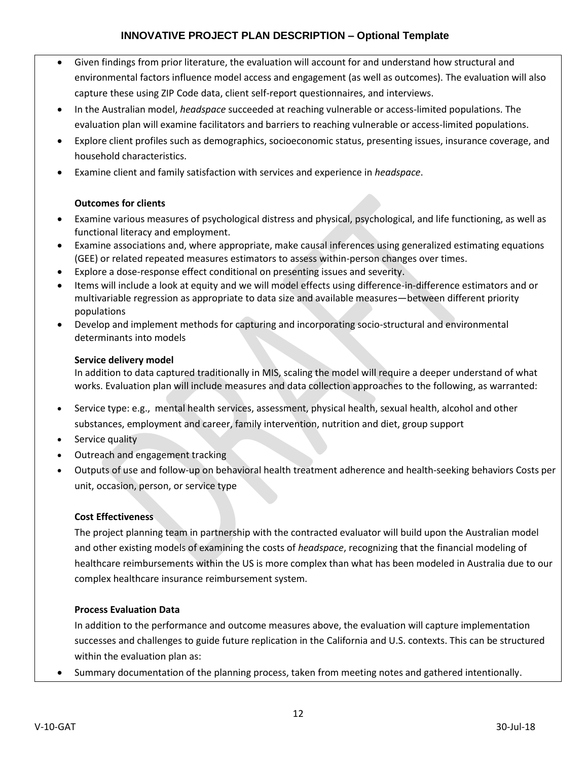- Given findings from prior literature, the evaluation will account for and understand how structural and environmental factors influence model access and engagement (as well as outcomes). The evaluation will also capture these using ZIP Code data, client self-report questionnaires, and interviews.
- In the Australian model, *headspace* succeeded at reaching vulnerable or access-limited populations. The evaluation plan will examine facilitators and barriers to reaching vulnerable or access-limited populations.
- Explore client profiles such as demographics, socioeconomic status, presenting issues, insurance coverage, and household characteristics.
- Examine client and family satisfaction with services and experience in *headspace*.

### **Outcomes for clients**

- Examine various measures of psychological distress and physical, psychological, and life functioning, as well as functional literacy and employment.
- Examine associations and, where appropriate, make causal inferences using generalized estimating equations (GEE) or related repeated measures estimators to assess within-person changes over times.
- Explore a dose-response effect conditional on presenting issues and severity.
- Items will include a look at equity and we will model effects using difference-in-difference estimators and or multivariable regression as appropriate to data size and available measures—between different priority populations
- Develop and implement methods for capturing and incorporating socio-structural and environmental determinants into models

### **Service delivery model**

In addition to data captured traditionally in MIS, scaling the model will require a deeper understand of what works. Evaluation plan will include measures and data collection approaches to the following, as warranted:

- Service type: e.g., mental health services, assessment, physical health, sexual health, alcohol and other substances, employment and career, family intervention, nutrition and diet, group support
- Service quality
- Outreach and engagement tracking
- Outputs of use and follow-up on behavioral health treatment adherence and health-seeking behaviors Costs per unit, occasion, person, or service type

### **Cost Effectiveness**

The project planning team in partnership with the contracted evaluator will build upon the Australian model and other existing models of examining the costs of *headspace*, recognizing that the financial modeling of healthcare reimbursements within the US is more complex than what has been modeled in Australia due to our complex healthcare insurance reimbursement system.

### **Process Evaluation Data**

In addition to the performance and outcome measures above, the evaluation will capture implementation successes and challenges to guide future replication in the California and U.S. contexts. This can be structured within the evaluation plan as:

Summary documentation of the planning process, taken from meeting notes and gathered intentionally.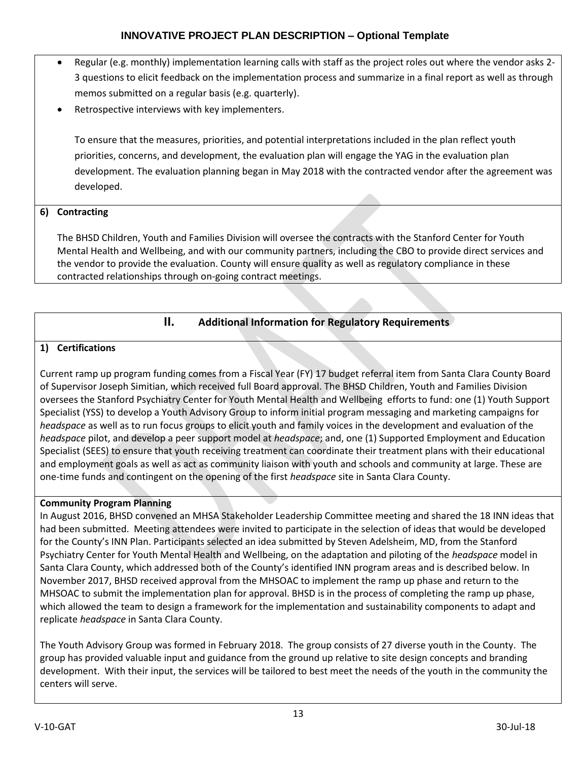- Regular (e.g. monthly) implementation learning calls with staff as the project roles out where the vendor asks 2- 3 questions to elicit feedback on the implementation process and summarize in a final report as well as through memos submitted on a regular basis (e.g. quarterly).
- Retrospective interviews with key implementers.

To ensure that the measures, priorities, and potential interpretations included in the plan reflect youth priorities, concerns, and development, the evaluation plan will engage the YAG in the evaluation plan development. The evaluation planning began in May 2018 with the contracted vendor after the agreement was developed.

# **6) Contracting**

The BHSD Children, Youth and Families Division will oversee the contracts with the Stanford Center for Youth Mental Health and Wellbeing, and with our community partners, including the CBO to provide direct services and the vendor to provide the evaluation. County will ensure quality as well as regulatory compliance in these contracted relationships through on-going contract meetings.

# **II. Additional Information for Regulatory Requirements**

# **1) Certifications**

Current ramp up program funding comes from a Fiscal Year (FY) 17 budget referral item from Santa Clara County Board of Supervisor Joseph Simitian, which received full Board approval. The BHSD Children, Youth and Families Division oversees the Stanford Psychiatry Center for Youth Mental Health and Wellbeing efforts to fund: one (1) Youth Support Specialist (YSS) to develop a Youth Advisory Group to inform initial program messaging and marketing campaigns for *headspace* as well as to run focus groups to elicit youth and family voices in the development and evaluation of the *headspace* pilot, and develop a peer support model at *headspace*; and, one (1) Supported Employment and Education Specialist (SEES) to ensure that youth receiving treatment can coordinate their treatment plans with their educational and employment goals as well as act as community liaison with youth and schools and community at large. These are one-time funds and contingent on the opening of the first *headspace* site in Santa Clara County.

# **Community Program Planning**

In August 2016, BHSD convened an MHSA Stakeholder Leadership Committee meeting and shared the 18 INN ideas that had been submitted. Meeting attendees were invited to participate in the selection of ideas that would be developed for the County's INN Plan. Participants selected an idea submitted by Steven Adelsheim, MD, from the Stanford Psychiatry Center for Youth Mental Health and Wellbeing, on the adaptation and piloting of the *headspace* model in Santa Clara County, which addressed both of the County's identified INN program areas and is described below. In November 2017, BHSD received approval from the MHSOAC to implement the ramp up phase and return to the MHSOAC to submit the implementation plan for approval. BHSD is in the process of completing the ramp up phase, which allowed the team to design a framework for the implementation and sustainability components to adapt and replicate *headspace* in Santa Clara County.

The Youth Advisory Group was formed in February 2018. The group consists of 27 diverse youth in the County. The group has provided valuable input and guidance from the ground up relative to site design concepts and branding development. With their input, the services will be tailored to best meet the needs of the youth in the community the centers will serve.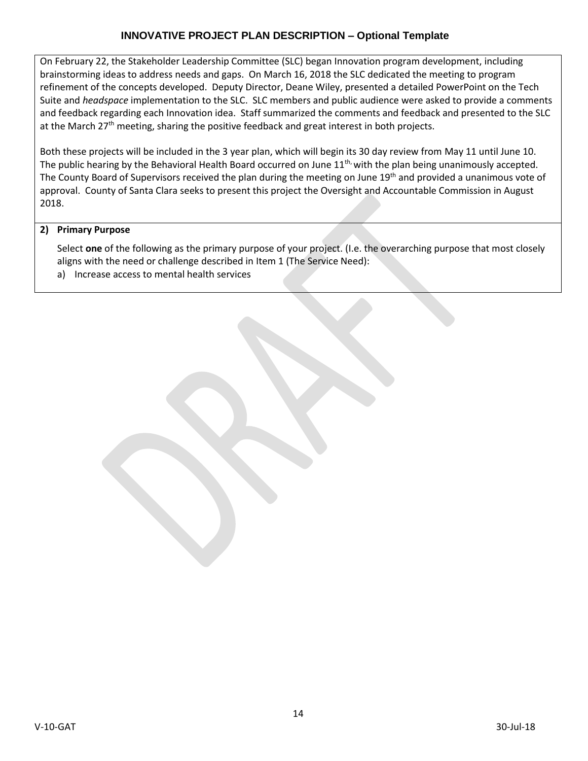On February 22, the Stakeholder Leadership Committee (SLC) began Innovation program development, including brainstorming ideas to address needs and gaps. On March 16, 2018 the SLC dedicated the meeting to program refinement of the concepts developed. Deputy Director, Deane Wiley, presented a detailed PowerPoint on the Tech Suite and *headspace* implementation to the SLC. SLC members and public audience were asked to provide a comments and feedback regarding each Innovation idea. Staff summarized the comments and feedback and presented to the SLC at the March 27<sup>th</sup> meeting, sharing the positive feedback and great interest in both projects.

Both these projects will be included in the 3 year plan, which will begin its 30 day review from May 11 until June 10. The public hearing by the Behavioral Health Board occurred on June  $11^{th}$ , with the plan being unanimously accepted. The County Board of Supervisors received the plan during the meeting on June 19th and provided a unanimous vote of approval. County of Santa Clara seeks to present this project the Oversight and Accountable Commission in August 2018.

### **2) Primary Purpose**

Select **one** of the following as the primary purpose of your project. (I.e. the overarching purpose that most closely aligns with the need or challenge described in Item 1 (The Service Need):

a) Increase access to mental health services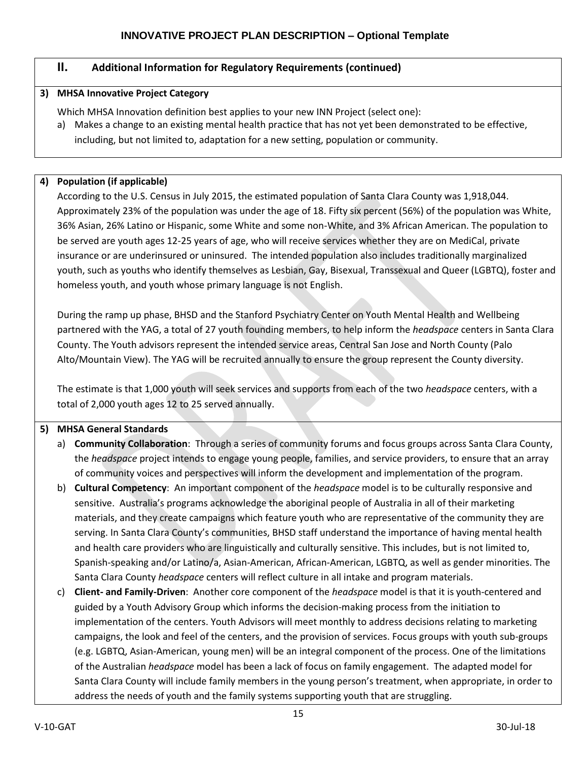# **II. Additional Information for Regulatory Requirements (continued)**

### **3) MHSA Innovative Project Category**

Which MHSA Innovation definition best applies to your new INN Project (select one):

a) Makes a change to an existing mental health practice that has not yet been demonstrated to be effective, including, but not limited to, adaptation for a new setting, population or community.

### **4) Population (if applicable)**

According to the U.S. Census in July 2015, the estimated population of Santa Clara County was 1,918,044. Approximately 23% of the population was under the age of 18. Fifty six percent (56%) of the population was White, 36% Asian, 26% Latino or Hispanic, some White and some non-White, and 3% African American. The population to be served are youth ages 12-25 years of age, who will receive services whether they are on MediCal, private insurance or are underinsured or uninsured. The intended population also includes traditionally marginalized youth, such as youths who identify themselves as Lesbian, Gay, Bisexual, Transsexual and Queer (LGBTQ), foster and homeless youth, and youth whose primary language is not English.

During the ramp up phase, BHSD and the Stanford Psychiatry Center on Youth Mental Health and Wellbeing partnered with the YAG, a total of 27 youth founding members, to help inform the *headspace* centers in Santa Clara County. The Youth advisors represent the intended service areas, Central San Jose and North County (Palo Alto/Mountain View). The YAG will be recruited annually to ensure the group represent the County diversity.

The estimate is that 1,000 youth will seek services and supports from each of the two *headspace* centers, with a total of 2,000 youth ages 12 to 25 served annually.

## **5) MHSA General Standards**

- a) **Community Collaboration**: Through a series of community forums and focus groups across Santa Clara County, the *headspace* project intends to engage young people, families, and service providers, to ensure that an array of community voices and perspectives will inform the development and implementation of the program.
- b) **Cultural Competency**: An important component of the *headspace* model is to be culturally responsive and sensitive. Australia's programs acknowledge the aboriginal people of Australia in all of their marketing materials, and they create campaigns which feature youth who are representative of the community they are serving. In Santa Clara County's communities, BHSD staff understand the importance of having mental health and health care providers who are linguistically and culturally sensitive. This includes, but is not limited to, Spanish-speaking and/or Latino/a, Asian-American, African-American, LGBTQ, as well as gender minorities. The Santa Clara County *headspace* centers will reflect culture in all intake and program materials.
- c) **Client- and Family-Driven**: Another core component of the *headspace* model is that it is youth-centered and guided by a Youth Advisory Group which informs the decision-making process from the initiation to implementation of the centers. Youth Advisors will meet monthly to address decisions relating to marketing campaigns, the look and feel of the centers, and the provision of services. Focus groups with youth sub-groups (e.g. LGBTQ, Asian-American, young men) will be an integral component of the process. One of the limitations of the Australian *headspace* model has been a lack of focus on family engagement. The adapted model for Santa Clara County will include family members in the young person's treatment, when appropriate, in order to address the needs of youth and the family systems supporting youth that are struggling.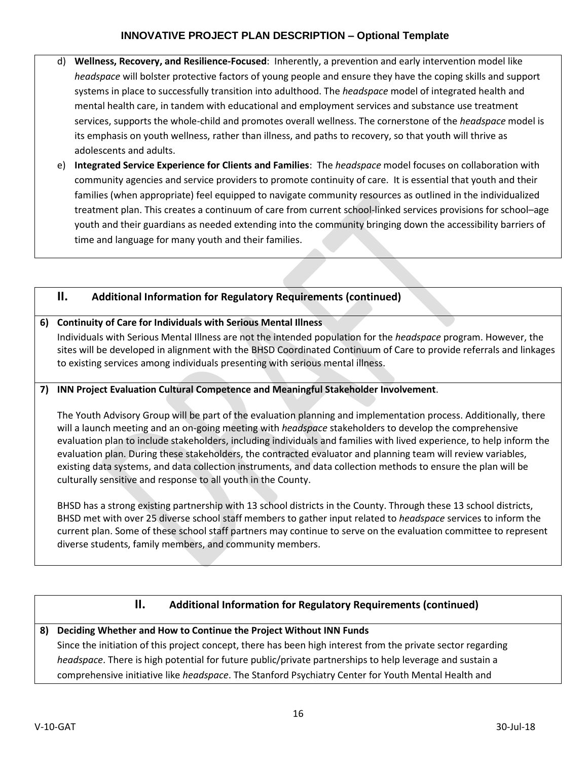- d) **Wellness, Recovery, and Resilience-Focused**: Inherently, a prevention and early intervention model like *headspace* will bolster protective factors of young people and ensure they have the coping skills and support systems in place to successfully transition into adulthood. The *headspace* model of integrated health and mental health care, in tandem with educational and employment services and substance use treatment services, supports the whole-child and promotes overall wellness. The cornerstone of the *headspace* model is its emphasis on youth wellness, rather than illness, and paths to recovery, so that youth will thrive as adolescents and adults.
- e) **Integrated Service Experience for Clients and Families**: The *headspace* model focuses on collaboration with community agencies and service providers to promote continuity of care. It is essential that youth and their families (when appropriate) feel equipped to navigate community resources as outlined in the individualized treatment plan. This creates a continuum of care from current school-linked services provisions for school–age youth and their guardians as needed extending into the community bringing down the accessibility barriers of time and language for many youth and their families.

## **II. Additional Information for Regulatory Requirements (continued)**

## **6) Continuity of Care for Individuals with Serious Mental Illness**

Individuals with Serious Mental Illness are not the intended population for the *headspace* program. However, the sites will be developed in alignment with the BHSD Coordinated Continuum of Care to provide referrals and linkages to existing services among individuals presenting with serious mental illness.

## **7) INN Project Evaluation Cultural Competence and Meaningful Stakeholder Involvement**.

The Youth Advisory Group will be part of the evaluation planning and implementation process. Additionally, there will a launch meeting and an on-going meeting with *headspace* stakeholders to develop the comprehensive evaluation plan to include stakeholders, including individuals and families with lived experience, to help inform the evaluation plan. During these stakeholders, the contracted evaluator and planning team will review variables, existing data systems, and data collection instruments, and data collection methods to ensure the plan will be culturally sensitive and response to all youth in the County.

BHSD has a strong existing partnership with 13 school districts in the County. Through these 13 school districts, BHSD met with over 25 diverse school staff members to gather input related to *headspace* services to inform the current plan. Some of these school staff partners may continue to serve on the evaluation committee to represent diverse students, family members, and community members.

# **II. Additional Information for Regulatory Requirements (continued)**

## **8) Deciding Whether and How to Continue the Project Without INN Funds** Since the initiation of this project concept, there has been high interest from the private sector regarding

*headspace*. There is high potential for future public/private partnerships to help leverage and sustain a comprehensive initiative like *headspace*. The Stanford Psychiatry Center for Youth Mental Health and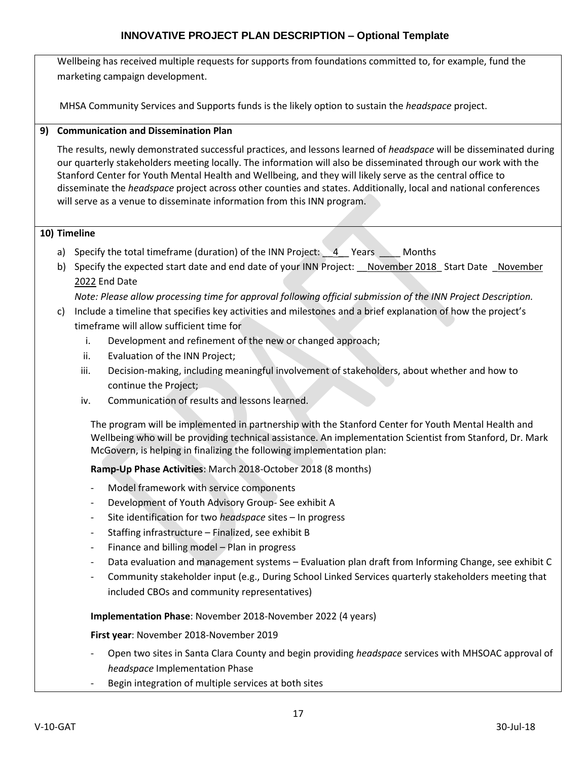Wellbeing has received multiple requests for supports from foundations committed to, for example, fund the marketing campaign development.

MHSA Community Services and Supports funds is the likely option to sustain the *headspace* project.

# **9) Communication and Dissemination Plan**

The results, newly demonstrated successful practices, and lessons learned of *headspace* will be disseminated during our quarterly stakeholders meeting locally. The information will also be disseminated through our work with the Stanford Center for Youth Mental Health and Wellbeing, and they will likely serve as the central office to disseminate the *headspace* project across other counties and states. Additionally, local and national conferences will serve as a venue to disseminate information from this INN program.

### **10) Timeline**

- a) Specify the total timeframe (duration) of the INN Project: 4 Years Months
- b) Specify the expected start date and end date of your INN Project: November 2018 Start Date November 2022 End Date

*Note: Please allow processing time for approval following official submission of the INN Project Description.*

- c) Include a timeline that specifies key activities and milestones and a brief explanation of how the project's timeframe will allow sufficient time for
	- i. Development and refinement of the new or changed approach;
	- ii. Evaluation of the INN Project;
	- iii. Decision-making, including meaningful involvement of stakeholders, about whether and how to continue the Project;
	- iv. Communication of results and lessons learned.

The program will be implemented in partnership with the Stanford Center for Youth Mental Health and Wellbeing who will be providing technical assistance. An implementation Scientist from Stanford, Dr. Mark McGovern, is helping in finalizing the following implementation plan:

**Ramp-Up Phase Activities**: March 2018-October 2018 (8 months)

- Model framework with service components
- Development of Youth Advisory Group- See exhibit A
- Site identification for two *headspace* sites In progress
- Staffing infrastructure Finalized, see exhibit B
- Finance and billing model Plan in progress
- Data evaluation and management systems Evaluation plan draft from Informing Change, see exhibit C
- Community stakeholder input (e.g., During School Linked Services quarterly stakeholders meeting that included CBOs and community representatives)

**Implementation Phase**: November 2018-November 2022 (4 years)

**First year**: November 2018-November 2019

- Open two sites in Santa Clara County and begin providing *headspace* services with MHSOAC approval of *headspace* Implementation Phase
- Begin integration of multiple services at both sites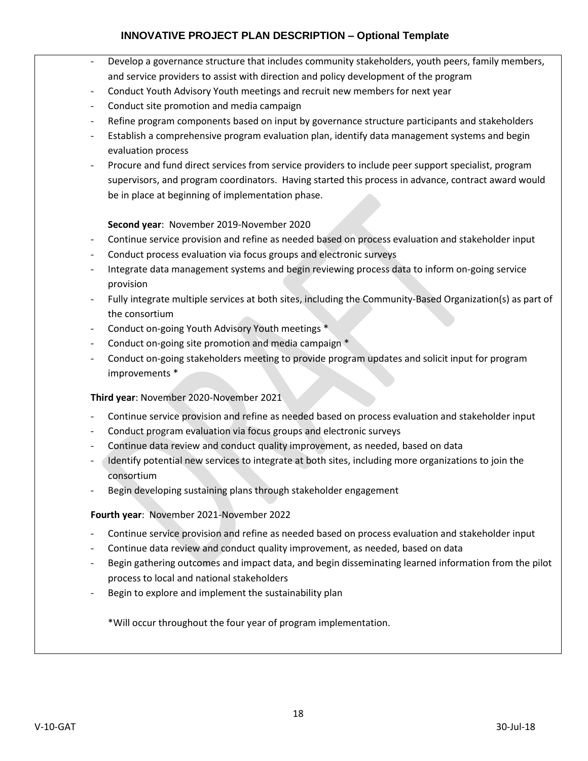- Develop a governance structure that includes community stakeholders, youth peers, family members, and service providers to assist with direction and policy development of the program
- Conduct Youth Advisory Youth meetings and recruit new members for next year
- Conduct site promotion and media campaign
- Refine program components based on input by governance structure participants and stakeholders
- Establish a comprehensive program evaluation plan, identify data management systems and begin evaluation process
- Procure and fund direct services from service providers to include peer support specialist, program supervisors, and program coordinators. Having started this process in advance, contract award would be in place at beginning of implementation phase.

## **Second year**: November 2019-November 2020

- Continue service provision and refine as needed based on process evaluation and stakeholder input
- Conduct process evaluation via focus groups and electronic surveys
- Integrate data management systems and begin reviewing process data to inform on-going service provision
- Fully integrate multiple services at both sites, including the Community-Based Organization(s) as part of the consortium
- Conduct on-going Youth Advisory Youth meetings \*
- Conduct on-going site promotion and media campaign \*
- Conduct on-going stakeholders meeting to provide program updates and solicit input for program improvements \*

### **Third year**: November 2020-November 2021

- Continue service provision and refine as needed based on process evaluation and stakeholder input
- Conduct program evaluation via focus groups and electronic surveys
- Continue data review and conduct quality improvement, as needed, based on data
- Identify potential new services to integrate at both sites, including more organizations to join the consortium
- Begin developing sustaining plans through stakeholder engagement

### **Fourth year**: November 2021-November 2022

- Continue service provision and refine as needed based on process evaluation and stakeholder input
- Continue data review and conduct quality improvement, as needed, based on data
- Begin gathering outcomes and impact data, and begin disseminating learned information from the pilot process to local and national stakeholders
- Begin to explore and implement the sustainability plan

\*Will occur throughout the four year of program implementation.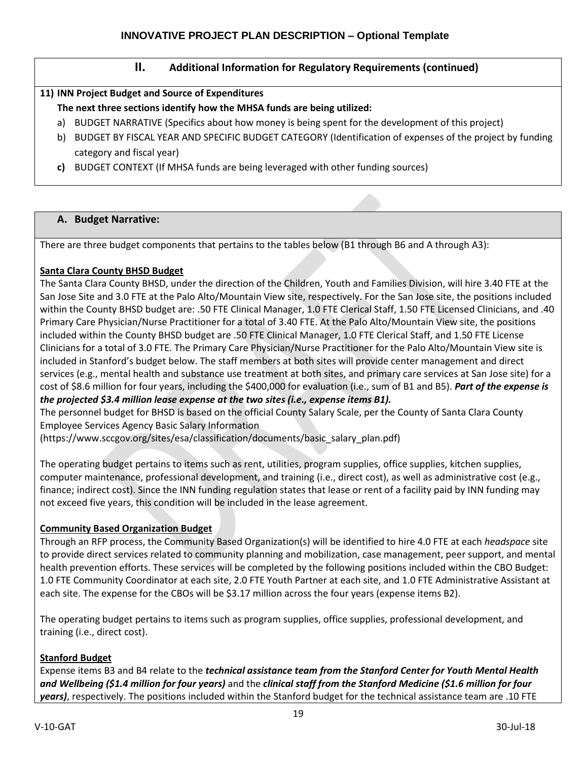## **II. Additional Information for Regulatory Requirements (continued)**

## **11) INN Project Budget and Source of Expenditures**

- **The next three sections identify how the MHSA funds are being utilized:**
- a) BUDGET NARRATIVE (Specifics about how money is being spent for the development of this project)
- b) BUDGET BY FISCAL YEAR AND SPECIFIC BUDGET CATEGORY (Identification of expenses of the project by funding category and fiscal year)
- **c)** BUDGET CONTEXT (If MHSA funds are being leveraged with other funding sources)

## **A. Budget Narrative:**

There are three budget components that pertains to the tables below (B1 through B6 and A through A3):

## **Santa Clara County BHSD Budget**

The Santa Clara County BHSD, under the direction of the Children, Youth and Families Division, will hire 3.40 FTE at the San Jose Site and 3.0 FTE at the Palo Alto/Mountain View site, respectively. For the San Jose site, the positions included within the County BHSD budget are: .50 FTE Clinical Manager, 1.0 FTE Clerical Staff, 1.50 FTE Licensed Clinicians, and .40 Primary Care Physician/Nurse Practitioner for a total of 3.40 FTE. At the Palo Alto/Mountain View site, the positions included within the County BHSD budget are .50 FTE Clinical Manager, 1.0 FTE Clerical Staff, and 1.50 FTE License Clinicians for a total of 3.0 FTE. The Primary Care Physician/Nurse Practitioner for the Palo Alto/Mountain View site is included in Stanford's budget below. The staff members at both sites will provide center management and direct services (e.g., mental health and substance use treatment at both sites, and primary care services at San Jose site) for a cost of \$8.6 million for four years, including the \$400,000 for evaluation (i.e., sum of B1 and B5). *Part of the expense is the projected \$3.4 million lease expense at the two sites (i.e., expense items B1).*

The personnel budget for BHSD is based on the official County Salary Scale, per the County of Santa Clara County Employee Services Agency Basic Salary Information

(https://www.sccgov.org/sites/esa/classification/documents/basic\_salary\_plan.pdf)

The operating budget pertains to items such as rent, utilities, program supplies, office supplies, kitchen supplies, computer maintenance, professional development, and training (i.e., direct cost), as well as administrative cost (e.g., finance; indirect cost). Since the INN funding regulation states that lease or rent of a facility paid by INN funding may not exceed five years, this condition will be included in the lease agreement.

# **Community Based Organization Budget**

Through an RFP process, the Community Based Organization(s) will be identified to hire 4.0 FTE at each *headspace* site to provide direct services related to community planning and mobilization, case management, peer support, and mental health prevention efforts. These services will be completed by the following positions included within the CBO Budget: 1.0 FTE Community Coordinator at each site, 2.0 FTE Youth Partner at each site, and 1.0 FTE Administrative Assistant at each site. The expense for the CBOs will be \$3.17 million across the four years (expense items B2).

The operating budget pertains to items such as program supplies, office supplies, professional development, and training (i.e., direct cost).

# **Stanford Budget**

Expense items B3 and B4 relate to the *technical assistance team from the Stanford Center for Youth Mental Health and Wellbeing (\$1.4 million for four years)* and the *clinical staff from the Stanford Medicine (\$1.6 million for four years)*, respectively. The positions included within the Stanford budget for the technical assistance team are .10 FTE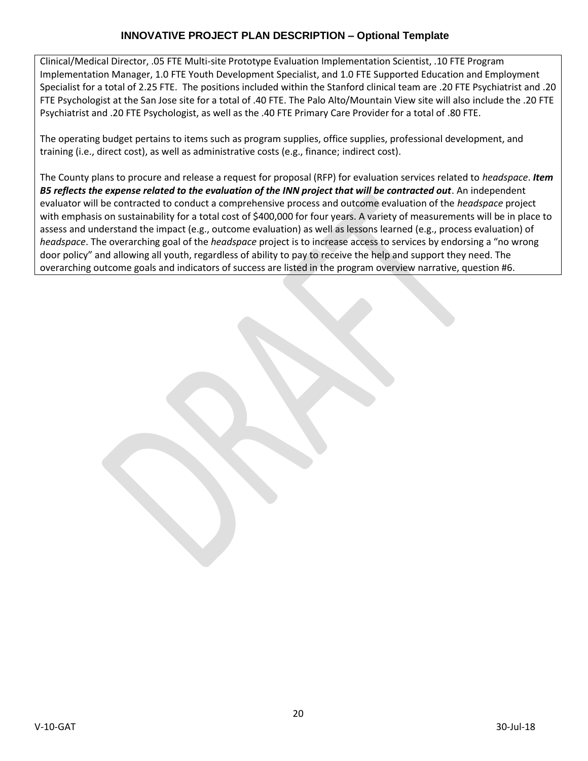Clinical/Medical Director, .05 FTE Multi-site Prototype Evaluation Implementation Scientist, .10 FTE Program Implementation Manager, 1.0 FTE Youth Development Specialist, and 1.0 FTE Supported Education and Employment Specialist for a total of 2.25 FTE. The positions included within the Stanford clinical team are .20 FTE Psychiatrist and .20 FTE Psychologist at the San Jose site for a total of .40 FTE. The Palo Alto/Mountain View site will also include the .20 FTE Psychiatrist and .20 FTE Psychologist, as well as the .40 FTE Primary Care Provider for a total of .80 FTE.

The operating budget pertains to items such as program supplies, office supplies, professional development, and training (i.e., direct cost), as well as administrative costs (e.g., finance; indirect cost).

The County plans to procure and release a request for proposal (RFP) for evaluation services related to *headspace*. *Item B5 reflects the expense related to the evaluation of the INN project that will be contracted out*. An independent evaluator will be contracted to conduct a comprehensive process and outcome evaluation of the *headspace* project with emphasis on sustainability for a total cost of \$400,000 for four years. A variety of measurements will be in place to assess and understand the impact (e.g., outcome evaluation) as well as lessons learned (e.g., process evaluation) of *headspace*. The overarching goal of the *headspace* project is to increase access to services by endorsing a "no wrong door policy" and allowing all youth, regardless of ability to pay to receive the help and support they need. The overarching outcome goals and indicators of success are listed in the program overview narrative, question #6.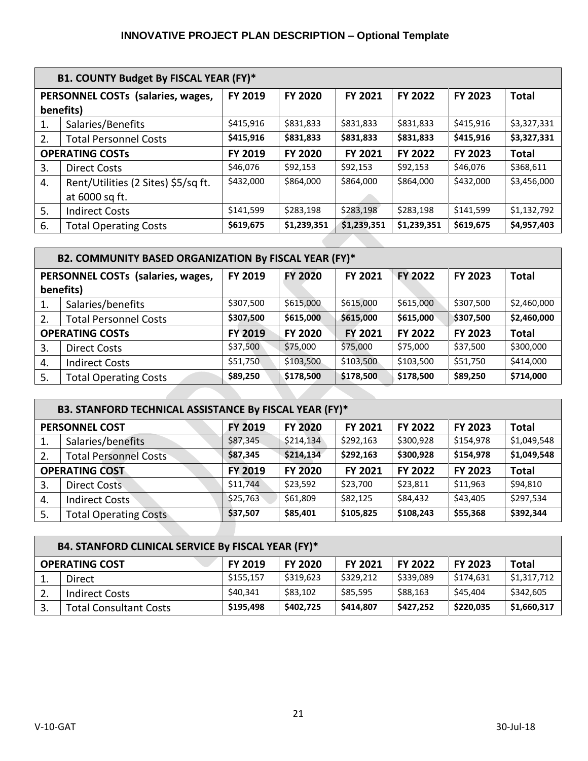|    | B1. COUNTY Budget By FISCAL YEAR (FY)*                                                                                               |           |                |             |             |                |              |  |  |
|----|--------------------------------------------------------------------------------------------------------------------------------------|-----------|----------------|-------------|-------------|----------------|--------------|--|--|
|    | FY 2019<br>PERSONNEL COSTs (salaries, wages,<br><b>FY 2020</b><br><b>FY 2021</b><br><b>FY 2022</b><br><b>FY 2023</b><br><b>Total</b> |           |                |             |             |                |              |  |  |
|    | benefits)                                                                                                                            |           |                |             |             |                |              |  |  |
| 1. | Salaries/Benefits                                                                                                                    | \$415,916 | \$831,833      | \$831,833   | \$831,833   | \$415,916      | \$3,327,331  |  |  |
| 2. | <b>Total Personnel Costs</b>                                                                                                         | \$415,916 | \$831,833      | \$831,833   | \$831,833   | \$415,916      | \$3,327,331  |  |  |
|    | <b>OPERATING COSTS</b>                                                                                                               | FY 2019   | <b>FY 2020</b> | FY 2021     | FY 2022     | <b>FY 2023</b> | <b>Total</b> |  |  |
| 3. | <b>Direct Costs</b>                                                                                                                  | \$46,076  | \$92,153       | \$92,153    | \$92,153    | \$46,076       | \$368,611    |  |  |
| 4. | Rent/Utilities (2 Sites) \$5/sq ft.                                                                                                  | \$432,000 | \$864,000      | \$864,000   | \$864,000   | \$432,000      | \$3,456,000  |  |  |
|    | at 6000 sq ft.                                                                                                                       |           |                |             |             |                |              |  |  |
| 5. | <b>Indirect Costs</b>                                                                                                                | \$141,599 | \$283,198      | \$283,198   | \$283,198   | \$141,599      | \$1,132,792  |  |  |
| 6. | <b>Total Operating Costs</b>                                                                                                         | \$619,675 | \$1,239,351    | \$1,239,351 | \$1,239,351 | \$619,675      | \$4,957,403  |  |  |

| B2. COMMUNITY BASED ORGANIZATION By FISCAL YEAR (FY)* |                                   |           |                |                |                |                |              |  |  |
|-------------------------------------------------------|-----------------------------------|-----------|----------------|----------------|----------------|----------------|--------------|--|--|
|                                                       | PERSONNEL COSTs (salaries, wages, | FY 2019   | <b>FY 2020</b> | <b>FY 2021</b> | <b>FY 2022</b> | <b>FY 2023</b> | <b>Total</b> |  |  |
|                                                       | benefits)                         |           |                |                |                |                |              |  |  |
| 1.                                                    | Salaries/benefits                 | \$307,500 | \$615,000      | \$615,000      | \$615,000      | \$307,500      | \$2,460,000  |  |  |
| 2.                                                    | <b>Total Personnel Costs</b>      | \$307,500 | \$615,000      | \$615,000      | \$615,000      | \$307,500      | \$2,460,000  |  |  |
| <b>OPERATING COSTS</b>                                |                                   | FY 2019   | <b>FY 2020</b> | <b>FY 2021</b> | FY 2022        | FY 2023        | <b>Total</b> |  |  |
| 3.                                                    | <b>Direct Costs</b>               | \$37,500  | \$75,000       | \$75,000       | \$75,000       | \$37,500       | \$300,000    |  |  |
| 4.                                                    | <b>Indirect Costs</b>             | \$51,750  | \$103,500      | \$103,500      | \$103,500      | \$51,750       | \$414,000    |  |  |
| 5.                                                    | <b>Total Operating Costs</b>      | \$89,250  | \$178,500      | \$178,500      | \$178,500      | \$89,250       | \$714,000    |  |  |

| B3. STANFORD TECHNICAL ASSISTANCE By FISCAL YEAR (FY)* |                              |                |                |                |                |           |              |  |  |
|--------------------------------------------------------|------------------------------|----------------|----------------|----------------|----------------|-----------|--------------|--|--|
|                                                        | <b>PERSONNEL COST</b>        | FY 2019        | <b>FY 2020</b> | <b>FY 2021</b> | <b>FY 2022</b> | FY 2023   | <b>Total</b> |  |  |
| -1.                                                    | Salaries/benefits            | \$87,345       | \$214,134      | \$292,163      | \$300,928      | \$154,978 | \$1,049,548  |  |  |
| 2.                                                     | <b>Total Personnel Costs</b> | \$87,345       | \$214,134      | \$292,163      | \$300,928      | \$154,978 | \$1,049,548  |  |  |
| <b>OPERATING COST</b>                                  |                              | <b>FY 2019</b> | <b>FY 2020</b> | <b>FY 2021</b> | FY 2022        | FY 2023   | <b>Total</b> |  |  |
| 3.                                                     | <b>Direct Costs</b>          | \$11,744       | \$23,592       | \$23,700       | \$23,811       | \$11,963  | \$94,810     |  |  |
| 4.                                                     | <b>Indirect Costs</b>        | \$25,763       | \$61,809       | \$82,125       | \$84,432       | \$43,405  | \$297,534    |  |  |
| -5.                                                    | <b>Total Operating Costs</b> | \$37,507       | \$85,401       | \$105,825      | \$108,243      | \$55,368  | \$392,344    |  |  |

| B4. STANFORD CLINICAL SERVICE By FISCAL YEAR (FY)* |                               |                |                |                |                |                |              |  |  |
|----------------------------------------------------|-------------------------------|----------------|----------------|----------------|----------------|----------------|--------------|--|--|
|                                                    | <b>OPERATING COST</b>         | <b>FY 2019</b> | <b>FY 2020</b> | <b>FY 2021</b> | <b>FY 2022</b> | <b>FY 2023</b> | <b>Total</b> |  |  |
|                                                    | Direct                        | \$155,157      | \$319,623      | \$329,212      | \$339,089      | \$174,631      | \$1,317,712  |  |  |
| 2.                                                 | <b>Indirect Costs</b>         | \$40,341       | \$83,102       | \$85,595       | \$88,163       | \$45,404       | \$342,605    |  |  |
|                                                    | <b>Total Consultant Costs</b> | \$195,498      | \$402,725      | \$414,807      | \$427,252      | \$220,035      | \$1,660,317  |  |  |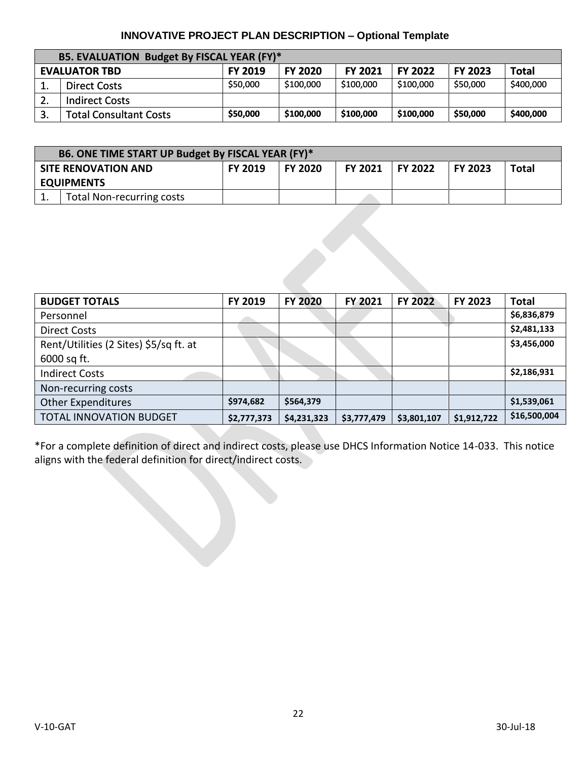| B5. EVALUATION Budget By FISCAL YEAR (FY)* |                               |                |                |                |                |                |              |  |  |
|--------------------------------------------|-------------------------------|----------------|----------------|----------------|----------------|----------------|--------------|--|--|
|                                            | <b>EVALUATOR TBD</b>          | <b>FY 2019</b> | <b>FY 2020</b> | <b>FY 2021</b> | <b>FY 2022</b> | <b>FY 2023</b> | <b>Total</b> |  |  |
|                                            | Direct Costs                  | \$50,000       | \$100,000      | \$100,000      | \$100,000      | \$50,000       | \$400,000    |  |  |
| z.                                         | <b>Indirect Costs</b>         |                |                |                |                |                |              |  |  |
| J.                                         | <b>Total Consultant Costs</b> | \$50,000       | \$100,000      | \$100,000      | \$100,000      | \$50,000       | \$400,000    |  |  |

| B6. ONE TIME START UP Budget By FISCAL YEAR (FY)* |                                  |                |                |                 |  |                |       |  |
|---------------------------------------------------|----------------------------------|----------------|----------------|-----------------|--|----------------|-------|--|
|                                                   | <b>SITE RENOVATION AND</b>       | <b>FY 2019</b> | <b>FY 2020</b> | FY 2021 FY 2022 |  | <b>FY 2023</b> | Total |  |
|                                                   | <b>EQUIPMENTS</b>                |                |                |                 |  |                |       |  |
|                                                   | <b>Total Non-recurring costs</b> |                |                |                 |  |                |       |  |

| <b>BUDGET TOTALS</b>                   | FY 2019     | <b>FY 2020</b> | <b>FY 2021</b> | <b>FY 2022</b> | <b>FY 2023</b> | <b>Total</b> |
|----------------------------------------|-------------|----------------|----------------|----------------|----------------|--------------|
| Personnel                              |             |                |                |                |                | \$6,836,879  |
| <b>Direct Costs</b>                    |             |                |                |                |                | \$2,481,133  |
| Rent/Utilities (2 Sites) \$5/sq ft. at |             |                |                |                |                | \$3,456,000  |
| 6000 sq ft.                            |             |                |                |                |                |              |
| <b>Indirect Costs</b>                  |             |                |                |                |                | \$2,186,931  |
| Non-recurring costs                    |             |                |                |                |                |              |
| <b>Other Expenditures</b>              | \$974,682   | \$564,379      |                |                |                | \$1,539,061  |
| <b>TOTAL INNOVATION BUDGET</b>         | \$2,777,373 | \$4,231,323    | \$3,777,479    | \$3,801,107    | \$1,912,722    | \$16,500,004 |

\*For a complete definition of direct and indirect costs, please use DHCS Information Notice 14-033. This notice aligns with the federal definition for direct/indirect costs.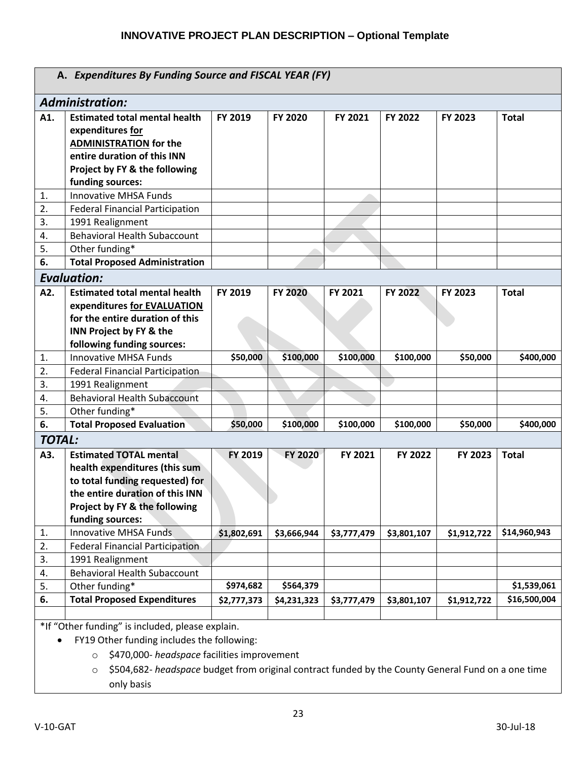|                        | A. Expenditures By Funding Source and FISCAL YEAR (FY)                                                                                                                                    |             |                |             |             |             |              |  |  |
|------------------------|-------------------------------------------------------------------------------------------------------------------------------------------------------------------------------------------|-------------|----------------|-------------|-------------|-------------|--------------|--|--|
| <b>Administration:</b> |                                                                                                                                                                                           |             |                |             |             |             |              |  |  |
| A1.                    | <b>Estimated total mental health</b><br>expenditures for<br><b>ADMINISTRATION for the</b><br>entire duration of this INN<br>Project by FY & the following<br>funding sources:             | FY 2019     | FY 2020        | FY 2021     | FY 2022     | FY 2023     | <b>Total</b> |  |  |
| 1.                     | <b>Innovative MHSA Funds</b>                                                                                                                                                              |             |                |             |             |             |              |  |  |
| 2.                     | <b>Federal Financial Participation</b>                                                                                                                                                    |             |                |             |             |             |              |  |  |
| 3.                     | 1991 Realignment                                                                                                                                                                          |             |                |             |             |             |              |  |  |
| 4.                     | <b>Behavioral Health Subaccount</b>                                                                                                                                                       |             |                |             |             |             |              |  |  |
| 5.                     | Other funding*                                                                                                                                                                            |             |                |             |             |             |              |  |  |
| 6.                     | <b>Total Proposed Administration</b>                                                                                                                                                      |             |                |             |             |             |              |  |  |
|                        | <b>Evaluation:</b>                                                                                                                                                                        |             |                |             |             |             |              |  |  |
| A2.                    | <b>Estimated total mental health</b><br>expenditures for EVALUATION<br>for the entire duration of this<br>INN Project by FY & the<br>following funding sources:                           | FY 2019     | <b>FY 2020</b> | FY 2021     | FY 2022     | FY 2023     | <b>Total</b> |  |  |
| $\mathbf{1}$ .         | Innovative MHSA Funds                                                                                                                                                                     | \$50,000    | \$100,000      | \$100,000   | \$100,000   | \$50,000    | \$400,000    |  |  |
| 2.                     | <b>Federal Financial Participation</b>                                                                                                                                                    |             |                |             |             |             |              |  |  |
| 3.                     | 1991 Realignment                                                                                                                                                                          |             |                |             |             |             |              |  |  |
| 4.                     | <b>Behavioral Health Subaccount</b>                                                                                                                                                       |             |                |             |             |             |              |  |  |
| 5.                     | Other funding*                                                                                                                                                                            |             |                |             |             |             |              |  |  |
| 6.                     | <b>Total Proposed Evaluation</b>                                                                                                                                                          | \$50,000    | \$100,000      | \$100,000   | \$100,000   | \$50,000    | \$400,000    |  |  |
| <b>TOTAL:</b>          |                                                                                                                                                                                           |             |                |             |             |             |              |  |  |
| A3.                    | <b>Estimated TOTAL mental</b><br>health expenditures (this sum<br>to total funding requested) for<br>the entire duration of this INN<br>Project by FY & the following<br>funding sources: | FY 2019     | FY 2020        | FY 2021     | FY 2022     | FY 2023     | <b>Total</b> |  |  |
| 1.                     | <b>Innovative MHSA Funds</b>                                                                                                                                                              | \$1,802,691 | \$3,666,944    | \$3,777,479 | \$3,801,107 | \$1,912,722 | \$14,960,943 |  |  |
| 2.                     | <b>Federal Financial Participation</b>                                                                                                                                                    |             |                |             |             |             |              |  |  |
| 3.                     | 1991 Realignment                                                                                                                                                                          |             |                |             |             |             |              |  |  |
| 4.                     | <b>Behavioral Health Subaccount</b>                                                                                                                                                       |             |                |             |             |             |              |  |  |
| 5.                     | Other funding*                                                                                                                                                                            | \$974,682   | \$564,379      |             |             |             | \$1,539,061  |  |  |
| 6.                     | <b>Total Proposed Expenditures</b>                                                                                                                                                        | \$2,777,373 | \$4,231,323    | \$3,777,479 | \$3,801,107 | \$1,912,722 | \$16,500,004 |  |  |
|                        | *If "Other funding" is included, please explain.                                                                                                                                          |             |                |             |             |             |              |  |  |

FY19 Other funding includes the following:

- o \$470,000- *headspace* facilities improvement
- o \$504,682- *headspace* budget from original contract funded by the County General Fund on a one time only basis